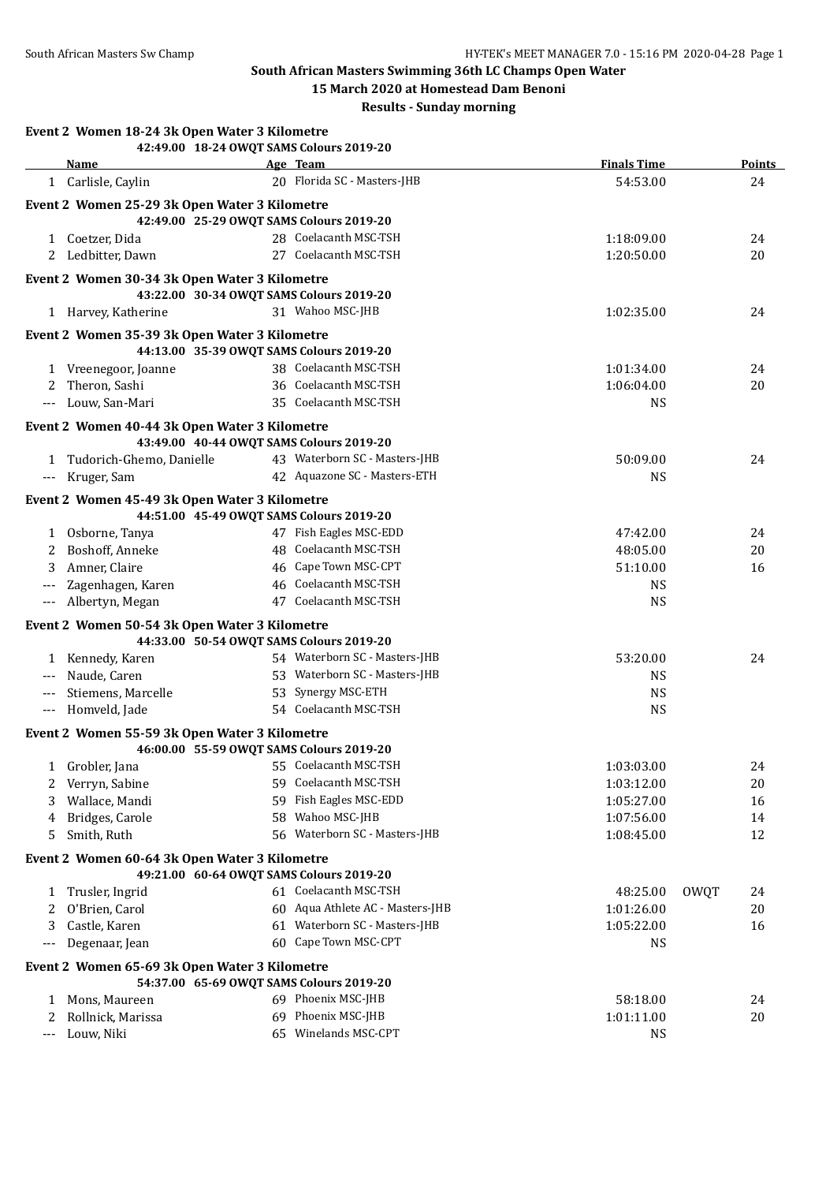## **South African Masters Swimming 36th LC Champs Open Water**

**15 March 2020 at Homestead Dam Benoni**

## **Results - Sunday morning**

|                   | Event 2 Women 18-24 3k Open Water 3 Kilometre<br>42:49.00 18-24 OWQT SAMS Colours 2019-20 |                                  |                    |      |               |
|-------------------|-------------------------------------------------------------------------------------------|----------------------------------|--------------------|------|---------------|
|                   | Name                                                                                      | Age Team                         | <b>Finals Time</b> |      | <b>Points</b> |
|                   | 1 Carlisle, Caylin                                                                        | 20 Florida SC - Masters-JHB      | 54:53.00           |      | 24            |
|                   | Event 2 Women 25-29 3k Open Water 3 Kilometre                                             |                                  |                    |      |               |
|                   | 42:49.00 25-29 OWQT SAMS Colours 2019-20                                                  |                                  |                    |      |               |
|                   | 1 Coetzer, Dida                                                                           | 28 Coelacanth MSC-TSH            | 1:18:09.00         |      | 24            |
|                   | 2 Ledbitter, Dawn                                                                         | 27 Coelacanth MSC-TSH            | 1:20:50.00         |      | 20            |
|                   |                                                                                           |                                  |                    |      |               |
|                   | Event 2 Women 30-34 3k Open Water 3 Kilometre                                             |                                  |                    |      |               |
|                   | 43:22.00 30-34 OWQT SAMS Colours 2019-20                                                  |                                  |                    |      |               |
|                   | 1 Harvey, Katherine                                                                       | 31 Wahoo MSC-JHB                 | 1:02:35.00         |      | 24            |
|                   | Event 2 Women 35-39 3k Open Water 3 Kilometre                                             |                                  |                    |      |               |
|                   | 44:13.00 35-39 OWQT SAMS Colours 2019-20                                                  |                                  |                    |      |               |
|                   | 1 Vreenegoor, Joanne                                                                      | 38 Coelacanth MSC-TSH            | 1:01:34.00         |      | 24            |
| 2                 | Theron, Sashi                                                                             | 36 Coelacanth MSC-TSH            | 1:06:04.00         |      | 20            |
|                   | --- Louw, San-Mari                                                                        | 35 Coelacanth MSC-TSH            | <b>NS</b>          |      |               |
|                   | Event 2 Women 40-44 3k Open Water 3 Kilometre                                             |                                  |                    |      |               |
|                   | 43:49.00 40-44 OWQT SAMS Colours 2019-20                                                  |                                  |                    |      |               |
|                   | 1 Tudorich-Ghemo, Danielle                                                                | 43 Waterborn SC - Masters-JHB    | 50:09.00           |      | 24            |
|                   | --- Kruger, Sam                                                                           | 42 Aquazone SC - Masters-ETH     | NS.                |      |               |
|                   | Event 2 Women 45-49 3k Open Water 3 Kilometre                                             |                                  |                    |      |               |
|                   | 44:51.00 45-49 OWQT SAMS Colours 2019-20                                                  |                                  |                    |      |               |
| 1                 | Osborne, Tanya                                                                            | 47 Fish Eagles MSC-EDD           | 47:42.00           |      | 24            |
| 2                 | Boshoff, Anneke                                                                           | 48 Coelacanth MSC-TSH            | 48:05.00           |      | 20            |
| 3                 | Amner, Claire                                                                             | 46 Cape Town MSC-CPT             | 51:10.00           |      | 16            |
| $---$             | Zagenhagen, Karen                                                                         | 46 Coelacanth MSC-TSH            | <b>NS</b>          |      |               |
|                   | --- Albertyn, Megan                                                                       | 47 Coelacanth MSC-TSH            | <b>NS</b>          |      |               |
|                   |                                                                                           |                                  |                    |      |               |
|                   | Event 2 Women 50-54 3k Open Water 3 Kilometre<br>44:33.00 50-54 OWQT SAMS Colours 2019-20 |                                  |                    |      |               |
|                   | 1 Kennedy, Karen                                                                          | 54 Waterborn SC - Masters-JHB    | 53:20.00           |      | 24            |
|                   | --- Naude, Caren                                                                          | 53 Waterborn SC - Masters-JHB    | <b>NS</b>          |      |               |
|                   | --- Stiemens, Marcelle                                                                    | 53 Synergy MSC-ETH               | <b>NS</b>          |      |               |
|                   | --- Homveld, Jade                                                                         | 54 Coelacanth MSC-TSH            | <b>NS</b>          |      |               |
|                   |                                                                                           |                                  |                    |      |               |
|                   | Event 2 Women 55-59 3k Open Water 3 Kilometre                                             |                                  |                    |      |               |
|                   | 46:00.00 55-59 OWQT SAMS Colours 2019-20                                                  |                                  |                    |      |               |
| 1                 | Grobler, Jana                                                                             | 55 Coelacanth MSC-TSH            | 1:03:03.00         |      | 24            |
| 2                 | Verryn, Sabine                                                                            | 59 Coelacanth MSC-TSH            | 1:03:12.00         |      | 20            |
| 3                 | Wallace, Mandi                                                                            | 59 Fish Eagles MSC-EDD           | 1:05:27.00         |      | 16            |
| 4                 | Bridges, Carole                                                                           | 58 Wahoo MSC-JHB                 | 1:07:56.00         |      | 14            |
| 5                 | Smith, Ruth                                                                               | 56 Waterborn SC - Masters-JHB    | 1:08:45.00         |      | 12            |
|                   | Event 2 Women 60-64 3k Open Water 3 Kilometre                                             |                                  |                    |      |               |
|                   | 49:21.00 60-64 OWQT SAMS Colours 2019-20                                                  |                                  |                    |      |               |
| 1                 | Trusler, Ingrid                                                                           | 61 Coelacanth MSC-TSH            | 48:25.00           | OWQT | 24            |
| 2                 | O'Brien, Carol                                                                            | 60 Aqua Athlete AC - Masters-JHB | 1:01:26.00         |      | 20            |
| 3                 | Castle, Karen                                                                             | 61 Waterborn SC - Masters-JHB    | 1:05:22.00         |      | 16            |
| $\qquad \qquad -$ | Degenaar, Jean                                                                            | 60 Cape Town MSC-CPT             | <b>NS</b>          |      |               |
|                   | Event 2 Women 65-69 3k Open Water 3 Kilometre                                             |                                  |                    |      |               |
|                   | 54:37.00 65-69 OWQT SAMS Colours 2019-20                                                  |                                  |                    |      |               |
| 1                 | Mons, Maureen                                                                             | 69 Phoenix MSC-JHB               | 58:18.00           |      | 24            |
| 2                 | Rollnick, Marissa                                                                         | 69 Phoenix MSC-JHB               | 1:01:11.00         |      | 20            |
| ---               | Louw, Niki                                                                                | 65 Winelands MSC-CPT             | <b>NS</b>          |      |               |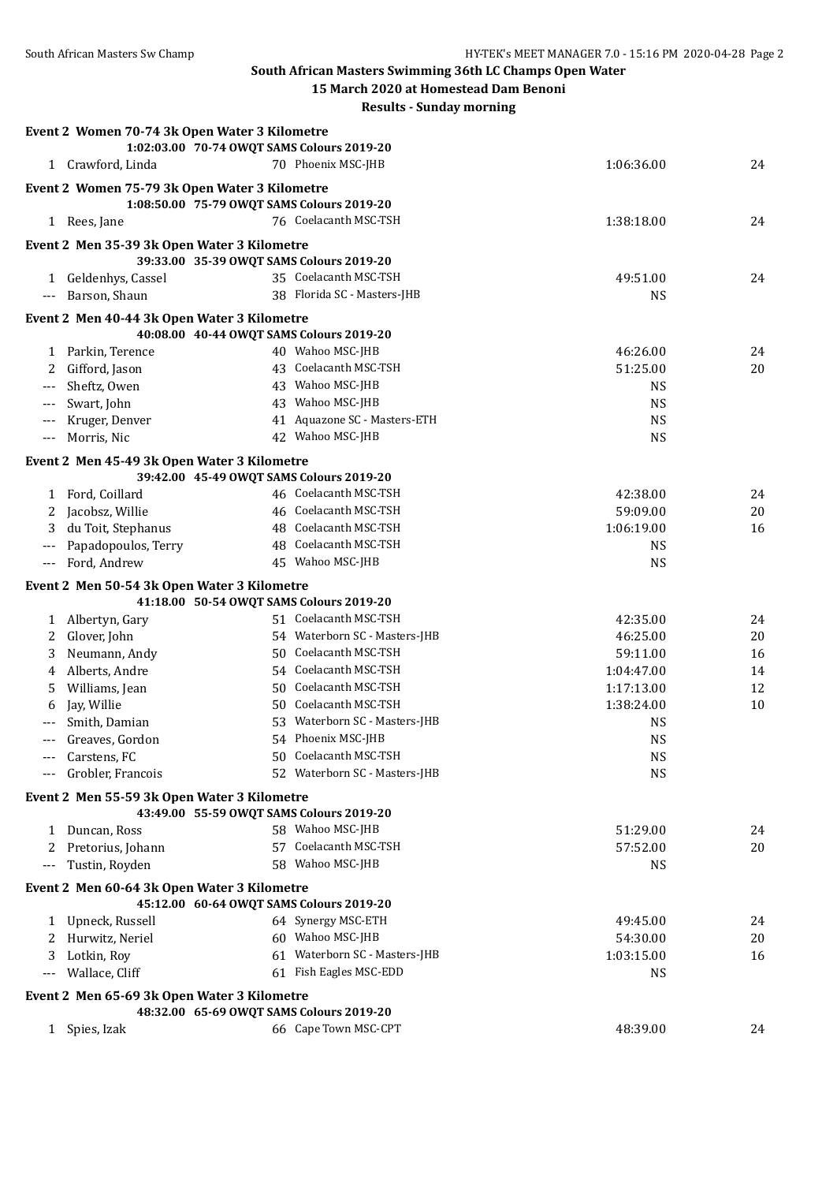**South African Masters Swimming 36th LC Champs Open Water**

| 15 March 2020 at Homestead Dam Benoni |  |
|---------------------------------------|--|
|---------------------------------------|--|

**Results - Sunday morning**

|                      | Event 2 Women 70-74 3k Open Water 3 Kilometre |                                                              |                        |          |
|----------------------|-----------------------------------------------|--------------------------------------------------------------|------------------------|----------|
|                      |                                               | 1:02:03.00 70-74 OWQT SAMS Colours 2019-20                   |                        |          |
|                      | 1 Crawford, Linda                             | 70 Phoenix MSC-JHB                                           | 1:06:36.00             | 24       |
|                      | Event 2 Women 75-79 3k Open Water 3 Kilometre |                                                              |                        |          |
|                      |                                               | 1:08:50.00 75-79 OWQT SAMS Colours 2019-20                   |                        |          |
|                      | 1 Rees, Jane                                  | 76 Coelacanth MSC-TSH                                        | 1:38:18.00             | 24       |
|                      | Event 2 Men 35-39 3k Open Water 3 Kilometre   |                                                              |                        |          |
|                      |                                               | 39:33.00 35-39 OWQT SAMS Colours 2019-20                     |                        |          |
|                      | 1 Geldenhys, Cassel                           | 35 Coelacanth MSC-TSH                                        | 49:51.00               | 24       |
| $---$                | Barson, Shaun                                 | 38 Florida SC - Masters-JHB                                  | <b>NS</b>              |          |
|                      |                                               |                                                              |                        |          |
|                      | Event 2 Men 40-44 3k Open Water 3 Kilometre   |                                                              |                        |          |
|                      |                                               | 40:08.00 40-44 OWQT SAMS Colours 2019-20<br>40 Wahoo MSC-JHB |                        |          |
| 2                    | 1 Parkin, Terence<br>Gifford, Jason           | 43 Coelacanth MSC-TSH                                        | 46:26.00<br>51:25.00   | 24<br>20 |
|                      | Sheftz, Owen                                  | 43 Wahoo MSC-JHB                                             | <b>NS</b>              |          |
| $\scriptstyle\cdots$ | Swart, John                                   | 43 Wahoo MSC-JHB                                             | <b>NS</b>              |          |
|                      | Kruger, Denver                                | 41 Aquazone SC - Masters-ETH                                 | <b>NS</b>              |          |
| $---$                | Morris, Nic                                   | 42 Wahoo MSC-JHB                                             | <b>NS</b>              |          |
|                      |                                               |                                                              |                        |          |
|                      | Event 2 Men 45-49 3k Open Water 3 Kilometre   |                                                              |                        |          |
|                      |                                               | 39:42.00 45-49 OWQT SAMS Colours 2019-20                     |                        |          |
|                      | 1 Ford, Coillard                              | 46 Coelacanth MSC-TSH                                        | 42:38.00               | 24       |
| 2                    | Jacobsz, Willie                               | 46 Coelacanth MSC-TSH                                        | 59:09.00               | $20\,$   |
| 3                    | du Toit, Stephanus                            | 48 Coelacanth MSC-TSH<br>48 Coelacanth MSC-TSH               | 1:06:19.00             | 16       |
| $\scriptstyle\cdots$ | Papadopoulos, Terry                           |                                                              | <b>NS</b>              |          |
| $\scriptstyle\cdots$ | Ford, Andrew                                  | 45 Wahoo MSC-JHB                                             | <b>NS</b>              |          |
|                      | Event 2 Men 50-54 3k Open Water 3 Kilometre   |                                                              |                        |          |
|                      |                                               | 41:18.00 50-54 OWQT SAMS Colours 2019-20                     |                        |          |
|                      | 1 Albertyn, Gary                              | 51 Coelacanth MSC-TSH                                        | 42:35.00               | 24       |
| 2                    | Glover, John                                  | 54 Waterborn SC - Masters-JHB                                | 46:25.00               | $20\,$   |
| 3                    | Neumann, Andy                                 | 50 Coelacanth MSC-TSH                                        | 59:11.00               | 16       |
| 4                    | Alberts, Andre                                | 54 Coelacanth MSC-TSH                                        | 1:04:47.00             | 14       |
| 5                    | Williams, Jean                                | 50 Coelacanth MSC-TSH                                        | 1:17:13.00             | 12       |
| 6                    | Jay, Willie                                   | 50 Coelacanth MSC-TSH                                        | 1:38:24.00             | 10       |
|                      | Smith, Damian                                 | 53 Waterborn SC - Masters-JHB                                | <b>NS</b>              |          |
| $\qquad \qquad - -$  | Greaves, Gordon                               | 54 Phoenix MSC-JHB                                           | <b>NS</b>              |          |
|                      | Carstens, FC                                  | 50 Coelacanth MSC-TSH                                        | $\mathbf{N}\mathbf{S}$ |          |
|                      | Grobler, Francois                             | 52 Waterborn SC - Masters-JHB                                | <b>NS</b>              |          |
|                      | Event 2 Men 55-59 3k Open Water 3 Kilometre   |                                                              |                        |          |
|                      |                                               | 43:49.00 55-59 OWQT SAMS Colours 2019-20                     |                        |          |
| 1                    | Duncan, Ross                                  | 58 Wahoo MSC-JHB                                             | 51:29.00               | 24       |
| 2                    | Pretorius, Johann                             | 57 Coelacanth MSC-TSH                                        | 57:52.00               | 20       |
| $\scriptstyle\cdots$ | Tustin, Royden                                | 58 Wahoo MSC-JHB                                             | <b>NS</b>              |          |
|                      | Event 2 Men 60-64 3k Open Water 3 Kilometre   |                                                              |                        |          |
|                      |                                               | 45:12.00 60-64 OWQT SAMS Colours 2019-20                     |                        |          |
|                      | 1 Upneck, Russell                             | 64 Synergy MSC-ETH                                           | 49:45.00               | 24       |
| 2                    | Hurwitz, Neriel                               | 60 Wahoo MSC-JHB                                             | 54:30.00               | 20       |
|                      | Lotkin, Roy                                   | 61 Waterborn SC - Masters-JHB                                | 1:03:15.00             | 16       |
| $---$                | Wallace, Cliff                                | 61 Fish Eagles MSC-EDD                                       | <b>NS</b>              |          |
|                      | Event 2 Men 65-69 3k Open Water 3 Kilometre   |                                                              |                        |          |
|                      |                                               | 48:32.00 65-69 OWQT SAMS Colours 2019-20                     |                        |          |
|                      | 1 Spies, Izak                                 | 66 Cape Town MSC-CPT                                         | 48:39.00               | 24       |